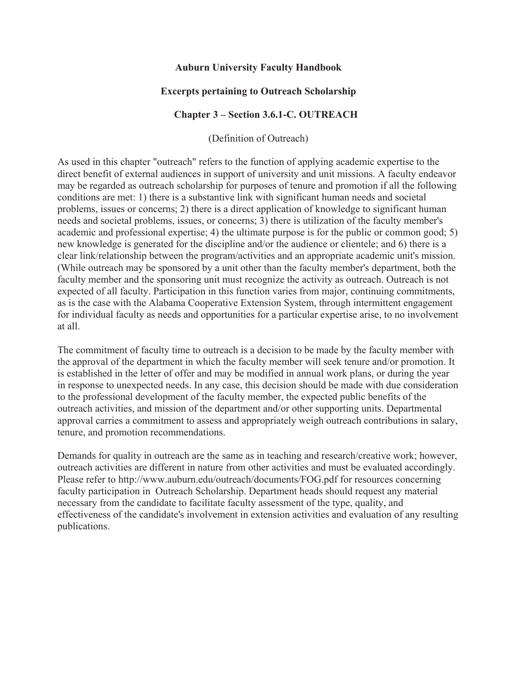### **Auburn University Faculty Handbook**

## **Excerpts pertaining to Outreach Scholarship**

### **Chapter 3 – Section 3.6.1-C. OUTREACH**

(Definition of Outreach)

As used in this chapter "outreach" refers to the function of applying academic expertise to the direct benefit of external audiences in support of university and unit missions. A faculty endeavor may be regarded as outreach scholarship for purposes of tenure and promotion if all the following conditions are met: 1) there is a substantive link with significant human needs and societal problems, issues or concerns; 2) there is a direct application of knowledge to significant human needs and societal problems, issues, or concerns; 3) there is utilization of the faculty member's academic and professional expertise; 4) the ultimate purpose is for the public or common good; 5) new knowledge is generated for the discipline and/or the audience or clientele; and 6) there is a clear link/relationship between the program/activities and an appropriate academic unit's mission. (While outreach may be sponsored by a unit other than the faculty member's department, both the faculty member and the sponsoring unit must recognize the activity as outreach. Outreach is not expected of all faculty. Participation in this function varies from major, continuing commitments, as is the case with the Alabama Cooperative Extension System, through intermittent engagement for individual faculty as needs and opportunities for a particular expertise arise, to no involvement at all.

The commitment of faculty time to outreach is a decision to be made by the faculty member with the approval of the department in which the faculty member will seek tenure and/or promotion. It is established in the letter of offer and may be modified in annual work plans, or during the year in response to unexpected needs. In any case, this decision should be made with due consideration to the professional development of the faculty member, the expected public benefits of the outreach activities, and mission of the department and/or other supporting units. Departmental approval carries a commitment to assess and appropriately weigh outreach contributions in salary, tenure, and promotion recommendations.

Demands for quality in outreach are the same as in teaching and research/creative work; however, outreach activities are different in nature from other activities and must be evaluated accordingly. Please refer to http://www.auburn.edu/outreach/documents/FOG.pdf for resources concerning faculty participation in Outreach Scholarship. Department heads should request any material necessary from the candidate to facilitate faculty assessment of the type, quality, and effectiveness of the candidate's involvement in extension activities and evaluation of any resulting publications.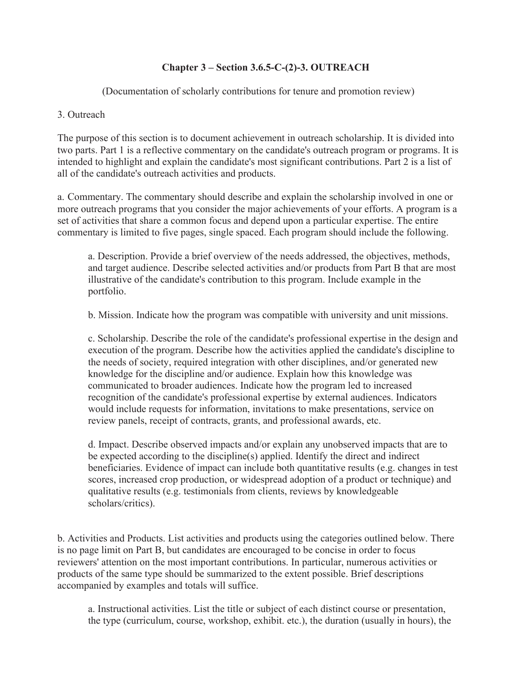# **Chapter 3 – Section 3.6.5-C-(2)-3. OUTREACH**

(Documentation of scholarly contributions for tenure and promotion review)

### . Outreach

The purpose of this section is to document achievement in outreach scholarship. It is divided into two parts. Part 1 is a reflective commentary on the candidate's outreach program or programs. It is intended to highlight and explain the candidate's most significant contributions. Part 2 is a list of all of the candidate's outreach activities and products.

a. Commentary. The commentary should describe and explain the scholarship involved in one or more outreach programs that you consider the major achievements of your efforts. A program is a set of activities that share a common focus and depend upon a particular expertise. The entire commentary is limited to five pages, single spaced. Each program should include the following.

a. Description. Provide a brief overview of the needs addressed, the objectives, methods, and target audience. Describe selected activities and/or products from Part B that are most illustrative of the candidate's contribution to this program. Include example in the portfolio.

b. Mission. Indicate how the program was compatible with university and unit missions.

review panels, receipt of contracts, grants, and professional awards, etc. c. Scholarship. Describe the role of the candidate's professional expertise in the design and execution of the program. Describe how the activities applied the candidate's discipline to the needs of society, required integration with other disciplines, and/or generated new knowledge for the discipline and/or audience. Explain how this knowledge was communicated to broader audiences. Indicate how the program led to increased recognition of the candidate's professional expertise by external audiences. Indicators would include requests for information, invitations to make presentations, service on

 scholars/critics). d. Impact. Describe observed impacts and/or explain any unobserved impacts that are to be expected according to the discipline(s) applied. Identify the direct and indirect beneficiaries. Evidence of impact can include both quantitative results (e.g. changes in test scores, increased crop production, or widespread adoption of a product or technique) and qualitative results (e.g. testimonials from clients, reviews by knowledgeable

E. Activities and Products. List activities and products using the categories outlined below. There is no page limit on Part B, but candidates are encouraged to be concise in order to focus reviewers' attention on the most important contributions. In particular, numerous activities or products of the same type should be summarized to the extent possible. Brief descriptions accompanied by examples and totals will suffice.

a. Instructional activities. List the title or subject of each distinct course or presentation, the type (curriculum, course, workshop, exhibit. etc.), the duration (usually in hours), the